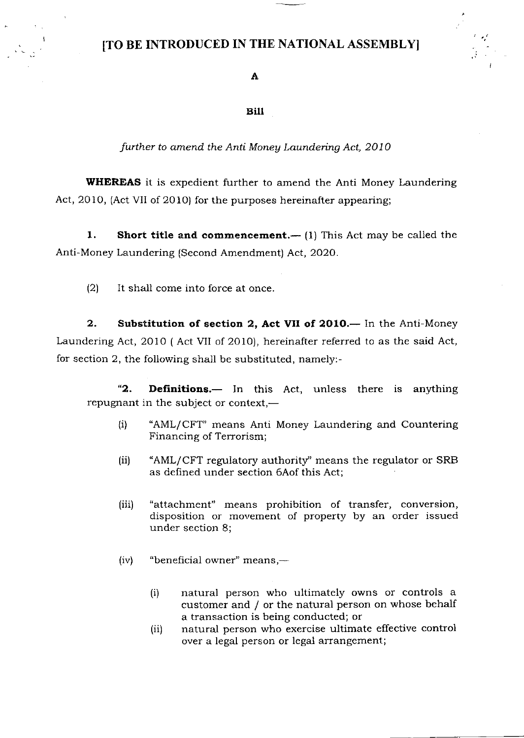# [TO BE INTRODUCED IN THE NATIONAL ASSEMBLYI

## .A

#### Bill

further to amend the Anti Money Laundering Act, 2010

WHEREAS it is expedient further to amend the Anti Money Laundering Act, 2010, (Act VII of 201O) for the purposes hereinafter appearing;

1. Short title and commencement.— $(1)$  This Act may be called the Anti-Money Laundering (Second Amendment) Act, 2O2O.

 $(2)$  It shall come into force at once.

2. Substitution of section 2, Act VII of 2010. – In the Anti-Money Laundering Act, 2OiO ( Act VII of 2O1O), hereinafter referred to as the said Act, for section 2, the following shall be substituted, namely:-

"2. Definitions.— In this Act, unless there is anything repugnant in the subject or context, $-$ 

- (i) "AML/CFT" means Anti Money Laundering and Countering Financing of Terrorism;
- (ii) "AML/CFT regulatory authority'' means the regulator or SRB as defined under section 6Aof this Act;
- (iii) "attachment" means prohibition of transfer, conversion, disposition or movement of property by an order issued under section 8;
- $(iv)$  "beneficial owner" means,—
	- (i) natural person who ultimately owns or controls a customer and / or the natural person on whose behalf a transaction is being conducted; or
	- natural person who exercise ultimate effective control over a legal person or legal arrangement; (ii)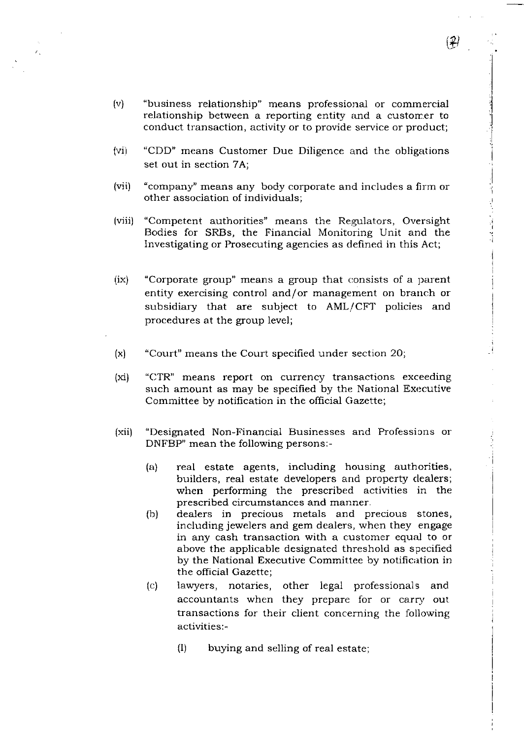(v) "business relationship" means professional or commercial relationship between a reporting entity and a customer to conduct transaction, activity or to provide service or product;

Ĉ.

- (vi) "CDD" means Customer Due Diligence and the obligations set out in section 7A;
- (vii) "company" means any body corporate and includes a firm or other association of individuals;
- (viii) "Competent authorities" means the Regulators, Oversight Bodies for SRBs, the Financial Monitoring Unit and the Investigating or Prosecuting agencies as defined in this Act;
- (ix) "Corporate group" means a group that consists of a parent entity exercising control and/or management on branch or subsidiary that are subject to AML/CFT policies and procedures at the group level;
- (x) "Court" means the Court specified under section 20;
- (xi) "CTR" means report on currency transactions exceeding such amount as may be specified by the National Executive Committee by notification in the official Gazette;
- (xii) "Designated Non-Financial Businesses and Professions or DNFBP" mean the following persons:-
	- (20 real estate agents, including housing authorities, builders, real estate developers and property clealers; when performing the prescribed activities in the prescribed circumstances and manner.
	- (b) dealers in precious metals and precious stones, including jewelers and gem dealers, when they engage in any cash transaction with a customer equal to or above the applicable designated threshold as specified by the National Executive Committee by notification in the official Gazette;
	- (c) iawyers, notaries, other legal professionals and accountants when they prepare for or carry out transactions for their client concerning the following activities:-
		- 0) buying and selling of real estate;

 $(2)$ 

i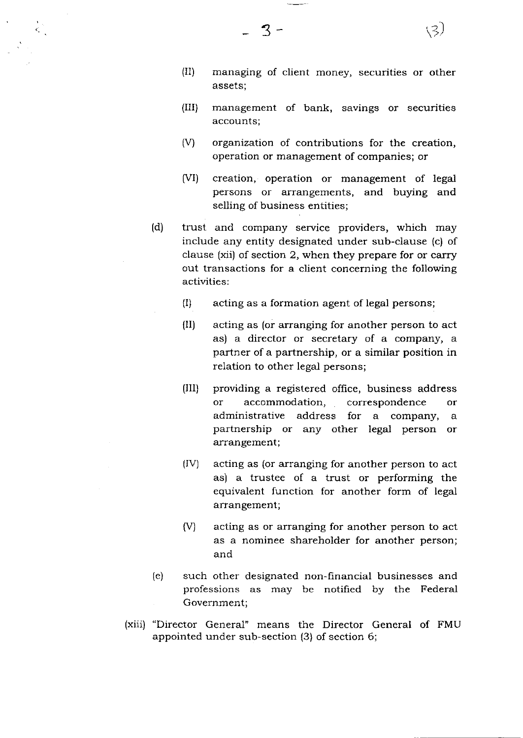(II) managing of client money, securities or other assets;

(3)

- (III) management of bank, savings or securities accounts;
- (V) organization of contributions for the creation, operation or management of companies; or
- (VI) creation, operation or management of legal persons or arrangements, and buying and selling of business entities;
- (d) trust and company service providers, which may include any entity designated under sub-clause (c) of clause (xii) of section 2, when they prepare for or carry out transactions for a client concerning the following activities:
	- (I) acting as a formation agent of legal persons;
	- (II) acting as (or arranging for another person to act as) a director or secretary of a company, <sup>a</sup> partner of a partnership, or a similar position in relation to other legal persons;
	- 0lI) providing a registered office, business address or accommodation, correspondence or administrative address for a company, <sup>a</sup> partnership or any other legal person or arrangement;
	- (IV) acting as (or arranging for another person to act as) a trustee of a trust or performing the equivalent function for another form of legal arrangement;
	- (V) acting as or arranging for another person to act as a nominee shareholder for another person; and
- (e) such other designated non-financial businesses and professions as may be notified by the Federal Government;
- (xiii) "Director General" means the Director General of FMU appointed under sub-section (3) of section 6;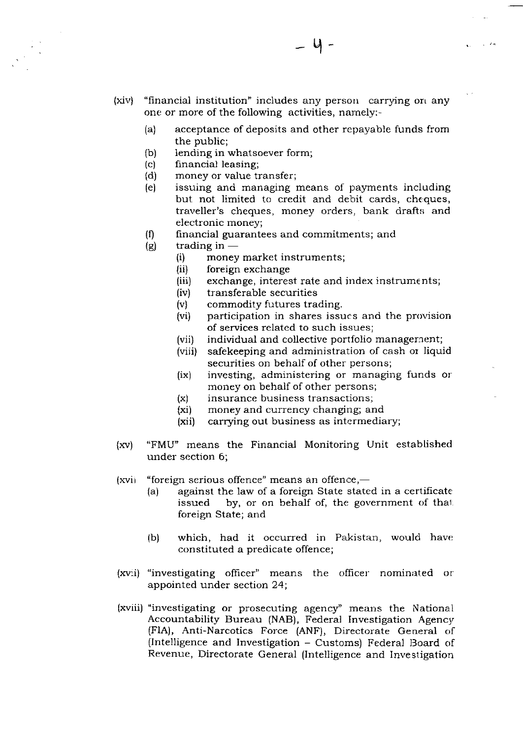- (xiv) "financial institution" includes any person carrying on any one or more of the following activities, namely:-
	- (a) acceptance of deposits and other repayable funds from the public;
	- (b) Iending in whatsoever form;
	- (c) financial leasing;
	- (d) money or value transfer;
	- (e) issuing and managing means of payrnents inciuding but not limited to credit and debit cards, cheques, traveller's cheques, money orders, bank drafts and electronic money;
	- $(0)$  financial guarantees and commitments; and
	- $(g)$  trading in  $$ 
		- trading m —<br>(i) money market instruments (i) money market in<br>(ii) foreign exchange
		-
		- (iii) exchange, interest rate and index instrum€nts;
		- (iv) transferable securities
		- (v) commodity futures trading.
		- (vi) participation in shares issues and the provision of services related to such issues;
		- (vii) individual and collective portfolio management;
		- (viii) safekeeping and administration of cash or liquid securities on behalf of other persons;
		- (ix) investing, administering or managing funds or money on behalf of other persons;
		- $(x)$  insurance business transactions;
		- (xi) money and currency changing; and
		- (xi) carrying out business as intermediary;
- (xv) "FMU" means the Financial Monitoring Unit established under section 6;
- (xvi) "foreign serious offence" means an offence,—
	- (a) against the law of a foreign State stated in a certificate issued by, or on behalf of, the government of that foreign State; and
	- (b) which, had it occurred in Pakistan, would have constituted a predicate offence;
- (xvii) "investigating officer" means the officer nominated or appointed under section 24;
- (xviii) "investigating or prosecuting agency" means the National Accountability Bureau (NAB), Federai Investigation Agency (FIA), Anti-Narcotics Force (ANF), Directorate General of (Intelligence and Investigation - Customs) Federal Board of Revenue, Directorate General (Intelligence and Investigation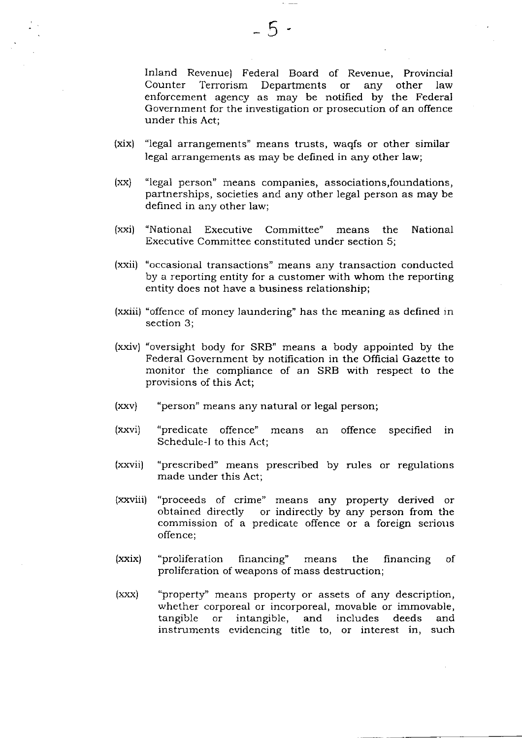Inland Revenue) Federal Board of Revenue, Provincial Terrorism Departments or any other law enforcement agency as may be notified by the Federal Government for the investigation or prosecution of an offence under this Act;

- (xix) "legal arrangements" means trusts, waqfs or other similar legal arrangements as may be defined in any other law;
- (xx) "legal person" means companies, associations, foundations, partnerships, societies and any other legal person as may be defined in any other law;
- (xxi) "National Executive Committee" means the National Executive Committee constituted under section 5;
- (xxii) "occasional transactions" means any transaction conducted by a reporting entity for a customer with whom the reporting entity does not have a business relationship;
- (xxiii) "offence of money laundering" has the meaning as defined in section 3;
- (xxiv) "oversight body for SRB" means a body appointed by the Federal Government by notification in the Official Gazette to monitor the compliance of an SRB with respect to the provisions of this Act;
- (xxv) "person" means any natural or legal person;
- (xxvi) "predicate offence" means an offence Schedule-I to this Act; specified in
- (xxvii) "prescribed" means prescribed by rules or regulations made under this Act;
- (xxviii) "proceeds of crime" means any property derived or obtained directly or indirectly by any person from the commission of a predicate offence or a foreign serious offence;
- (xxix) "proliferation financing" means the financing proliferation of weapons of mass destruction; of
- (xxx) "property'' means property or assets of any description, whether corporeal or incorporeal, movable or immovabie, tangible or intangible, and includes deeds and instruments evidencing title to, or interest in, such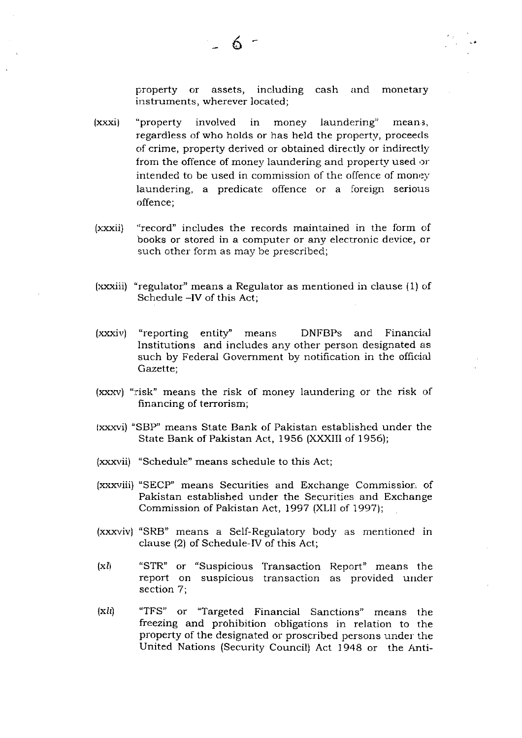property or assets, including cash and monetary instruments, wherever located;

- (xxxi) "property involved in money laundering" meani, regardless of who holds or has held the property, proceeds of crime, property derived or obtained directly or indirectly from the offence of money laundering and property used or intended to be used in commission of the offence of money laundering, a predicate offence or a foreign serious offence:
- (xxxii) "record" includes the records maintained in the form of books or stored in a computer or any electronic device, or such other form as may be prescribed;
- (xxxiii) "regulator" means a Regulator as mentioned in clause (1) of Schedule -IV of this Act;
- $(xxxiv)$  "reporting entity" means DNFBPs and Financial Institutions and includes any other person designated as such by Federal Government by notification in the official Gazette;
- (xxxv) "risk" means the risk of money laundering or the risk of financing of terrorism;
- (xxxvi) "SBP" means State Bank of Pakistan established under the State Bank of Pakistan Act, 1956 (XXXIII of 1956);
- (xxxvii) "Schedule" means schedule to this Act;
- (xxxviii) "SECP" means Securities and Exchange Commissior:, of Pakistan established under the Securities and Exchange Commission of Pakistan Act, 1997 (XLII of 1997);
- (xxxviv) "SRB" means a Self-Regulatory body as mentioned in clause (2) of Schedule-IV of this Act;
- $(xl)$ "STR" or "Suspicious Transaction Report" means the report on suspicious transaction as provided under section 7;
- $(xli)$ "TFS" or "Targeted Financial Sanctions" means the freezing and prohibition obligations in relation to the property of the designated or proscribed persons under the United Nations (Security Council) Act 1948 or the Anti-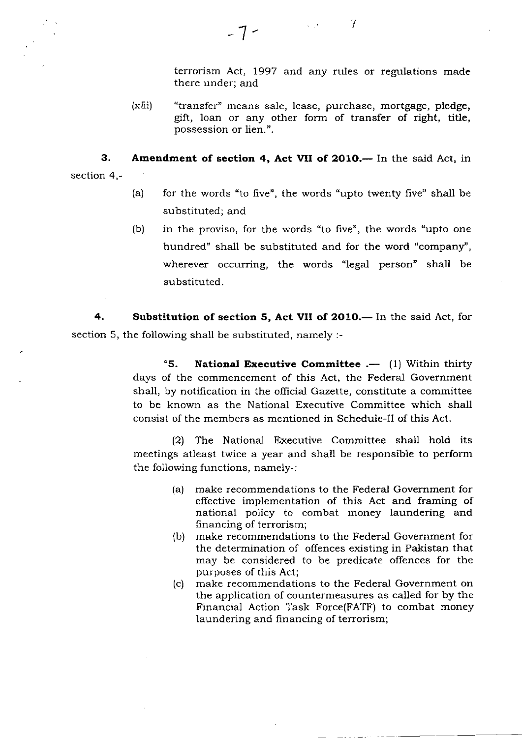terrorism Act, 1997 and any rules or regulations made there under; and

/

(xlii) "transfer" means sale, lease, purchase, mortgage, pledge, gift, loan or any other form of transfer of right, title, possession or lien.".

 $\label{eq:1} \mathcal{L}_{\text{max}}(\mathcal{L}_{\text{max}}) = \mathcal{L}_{\text{max}}(\mathcal{L}_{\text{max}})$ 

3. section 4,- Amendment of section 4, Act VII of 2010.-- In the said Act, in

- (a) for the words "to five", the words "upto twenty five" shall be substituted; and
- in the proviso, for the words "to five', the words 'upto one hundred" shall be substituted and for the word "company", wherever occurring, the words "legal person" shall be substituted. (b)

4. Substitution of section 5, Act VII of 2010.— In the said Act, for section 5, the following shall be substituted, namely :-

> "5. National Executive Committee  $. -$  (1) Within thirty days of the commencement of this Act, the Federal Government shall, by notification in the oflicial Gazette, constitute a committee to be known as the National Executive Committee which shall consist of the members as mentioned in Schedule-Il of this Act.

> $(2)$  The National Executive Committee shall hold its meetings atleast twice a year ard shall be responsible to perform the following functions, namely-:

- (a) make recommendations to the Federal Government for effective implementation of this Act and framing of national policy to combat money laundering and financing of terrorism;
- (b) make recommendations to the Federal Government for the determination of offences existing in Pakistan that may be considered to be predicate offences for the purposes of this Act;
- (c) make recommendations to the Federal Government on the application of countermeasures as called for by the Financial Action Task Force(FATF) to combat money laundering and financing of terrorism;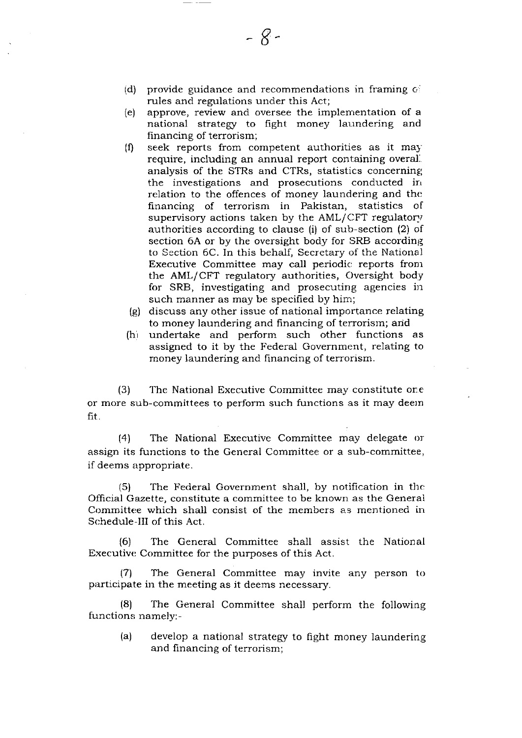(d)  $\;$  provide guidance and recommendations in framing  $\phi$ rules and regulations under this Act;

8-

- (e) approve, review and oversee the implementation of a national strategy to fight money laundering and financing of terrorism;
- $(f)$ seek reports from competent authorities as it may require, including an annual report containing overal. analysis of the STRs and CTRs, statistics concerning the investigations and prosecutions conducted in relation to the offences of money laundering and the financing of terrorism in Pakistan, statistics of supervisory actions taken by the  $AML/CFT$  regulatory authorities according to clause (i) of sub-section (2) of section 6A or by the oversight body for SRB according to Section 6C. In this behalf, Secretary of the National Executive Committee may call periodic reports from the AML/CFT regulatory authorities, Oversight body for SRB, investigating and prosecuting agencies in such manner as may be specified by him;
- (e) discuss any other issue of national importance relating to money laundering and financing of terrorism; and
- $(h)$ undertake and perform such other functions as assigned to it by the Federal Government, relating to money laundering and financing of terrorism.

(3) The National Executive Committee may constitute one or more sub-committees to perform such functions as it may deem fit.

 $\vert 4 \rangle$  The National Executive Committee may delegate or assign its functions to the General Committee or a sub-committee, if deems appropriate.

(5) The Federal Government sha1l, by notification in thc Official Gazette, constitute a committee to be known as the General Committee which shall consist of the members as mentioned in Schedule-III of this Act.

(6) The General Committee shall assist the National Executive Committee for the purposes of this Act.

17\ The General Committee may invite any person to participate in the meeting as it deems necessary.

(8) The General Committee shall perform the following functions namely:-

(a) develop a national strategy to fight money laundering and financing of terrorism;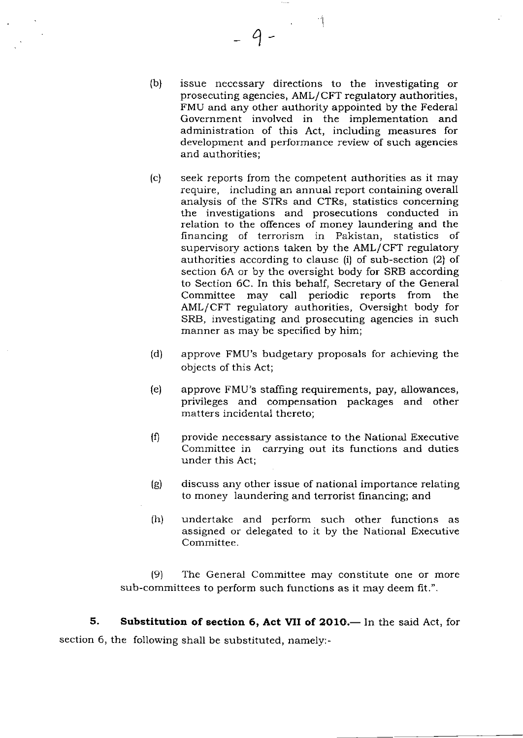(b) issue necessary directions to the investigating or prosecuting agencies, AML/CFT regulatory authorities, FMU and any other authority appointed by the Federal Government involved in the implementation and administration of this Act, including measures for development and performance review of such agencies and authorities;

 $\varphi$ 

- (c) seek reports from the competent authorities as it may require, including an annual report containing overall analysis of the STRs and CTRs, statistics concerning the investigations and prosecutions conducted in relation to the offences of money laundering and the hnancing of terrorism in Pakistan, statistics of supervisory actions taken by the AML/CFT regulatory authorities according to clause (i) of sub-section (2) of section 6A or by the oversight body for SRB according to Section 6C. In this behalf, Secretary of the General Committee may call periodic reports from the AML/CFT regulatory authorities, Oversight body for SRB, investigating and prosecuting agencies in such manner as may be specified by him;
- (d) approve FMU's budgetary proposals for achieving the objects of this Act;
- (e) approve FMU's staffing requirements, pay, allowances, privileges and compensation packages and other matters incidental thereto;
- $(0)$  provide necessary assistance to the National Executive Committee in carrying out its functions and duties under this Act;
- (e) discuss any other issue of national importance relating to money laundering and terrorist financing; and
- (h) undertake and perform such other functions as assigned or delegated to it by the National Executive Committee.

 $(9)$  The General Committee may constitute one or more sub-committees to perform such functions as it may deem fit.".

5. Substitution of section 6, Act VII of 2010. In the said Act, for section 6, the following shall be substituted, namely:-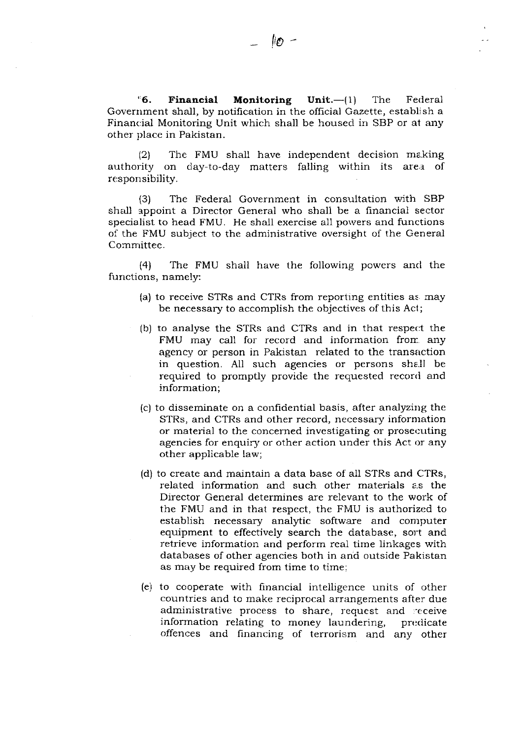$\text{``6. Financial<sup>26</sup>6. Financial Monitoring Unit.--(1) The Federal$ Government shall, by notification in the official Gazette, establjsh a Financial Monitoring Unit which shall be housed in SBP or at any other place in Pakistan.

 $12\$  The FMU shall have independent decision making authority on day-to-day matters falling within its area of responsibility.

(3) The Federal Government in consultation with SBP shall appoint a Director General who shali be a financial sector specialist to head FMU. He shall exercise all powers and functions of the FMU subject to the administrative oversight of the General Committee.

(4) The FMU shall have the following powers and the functions, namely:

- (a) to receive STRs and CTRs from reporting entities as may be necessary to accomplish the objectives of this Act;
- (b) to analyse the STRs and CTRs and in that respect the FMU may call for record and information from any agency or person in Pakistan related to the transaction in question. All such agencies or persons shall be required to promptly provide the requested record and information;
- (c) to disseminate on a confidential basis, after analyzing the STRs, and CTRs and other record, necessary information or material to the concerned investigating or prosecuting agencies for enquiry or other action under this Act or any other applicable law;
- (d) to create and maintain a data base of a1I STRs and CTRs, related information and such other materials a.s the Director General determines are relevant to the work of the FMU and in that respect, the FMU is authorized to establish necessary analytic software and conrputer equipment to effectively search the database, sort and retrieve information and perform real time linkages with databases of other agencies both in and outside Pakistan as may be required from time to time;
- (e) to cooperate with financial inteiligence units of other countries and to make reciprocal arrangements after due administrative process to share, request and receive information relating to money laundering, predicate offences and financing of terrorism and any other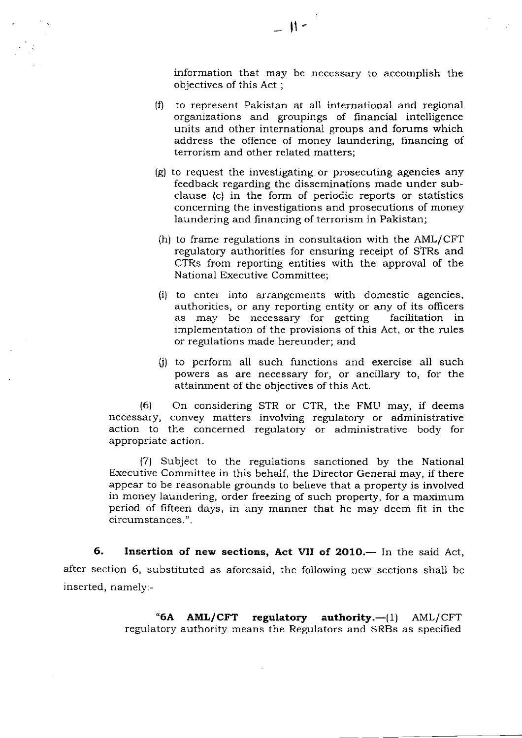information that may be necessary to accomplish the objectives of this Act ;

- (0 to represent Pakistan at all international and regional organizations and groupings of financial intelligence units and other international groups and fomms which address the offence of money laundering, financing of terrorism and other related matters;
- (g) to request the investigating or prosecuting agencies any feedback regarding the disseminations made under subclause (c) in the form of periodic reports or statistics concerning the investigations and prosecutions of money laundering and financing of terrorism in Pakistan;
- $(h)$  to frame regulations in consultation with the AML/CFT regulatory authorities for ensuring receipt of STRs and CTRs from reporting entities with the approval of the National Executive Committee;
- (i) to enter into arrangements with domestic agencies, authorities, or any reporting entity or any of its officers as may be necessary for getting facilitation in implementation of the provisions of this Act, or the rules or regulations made hereunder; and
- fi) to perform all such functions and exercise all such powers as are necessary for, or ancillary to, for the attainment of the objectives of this Act.

(6) On considering STR or CTR, the FMU may, if deems necessary, convey matters involving regulatory or administrative action to the concerned regulatory or administrative body for appropriate action.

(7) Subject to the regulations sanctioned by the National Executive Committee in this behalf, the Director General may, if there appear to be reasonable grounds to believe that a property is involved in money laundering, order freezing of such property, for a maximum period of fifteen days, in any manner that he may deem fit in the circumstances. ".

6. Insertion of new sections, Act VII of 2010.— In the said Act, after section 6, substituted as aforesaid, the foliowing new sections shall be inserted, namely:-

> "6A  $AML/CFT$  regulatory authority.— $(1)$  AML/CFT regulatory authority means the Regulators and SRBs as specified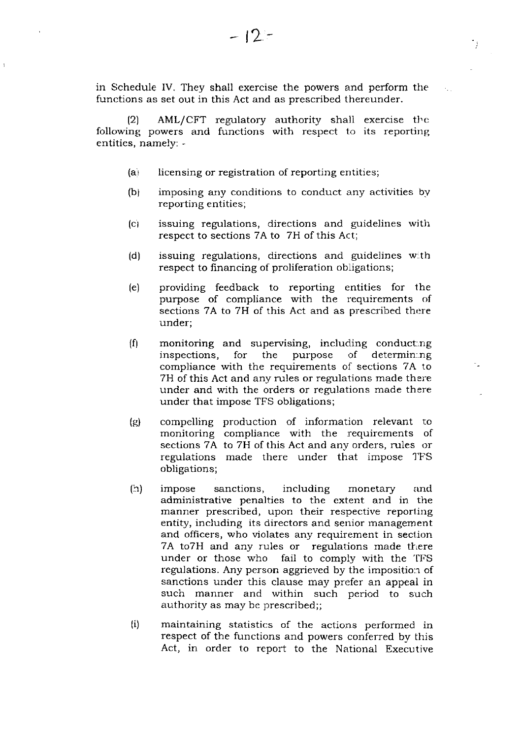in Schedule IV. They shall exercise the powers and perform the functions as set out in this Act and as prescribed thereunder.

(2) AML/CFT regulatory authority shall exercise the following powers and functions with respect to its reporting entities, namely: -

- (a) licensing or registration of reporting entities;
- (b) imposing any conditions to conduct any activities by reporting entities;
- issuing regulations, directions and guidelines with respect to sections 7A to 7H of this Act;  $(c)$
- issuing regulations, directions and guidelines with respect to financing of proliferation obligations; (d)
- providing feedback to reporting entities for the purpose of compliance with the requirements of sections 7A to 7H of this Act and as prescribed there under; (e)
- monitoring and supervising, including conducting<br>inspections, for the purpose of determining inspections, compliance with the requirements of sections 7A to 7H of this Act and any rules or regulations made there under and with the orders or regulations made there under that impose TFS obligations;  $(f)$
- (e) compelling production of information relevant to monitoring compliance with the requirements of sections 7A to 7H of this Act and any orders, rules or regulations made there under that impose 1'FS obligations;
- $(h)$ impose sanctions, including monetary and administrative penalties to the extent and in the manner prescribed, upon their respective reporting entity, including its directors and senior management and officers, who violates any requirement in section 7A to7H and any rules or regulations made there under or those who fail to comply with the TFS fail to comply with the TFS regulations. Any person aggrieved by the imposition of sanctions under this clause may prefer an appeal in such manner and within such period to such authority as may be prescribed;;
- $(i)$ maintaining statistics of the actions performed in respect of the functions and powers conferred by this Act, in order to report to the National Executive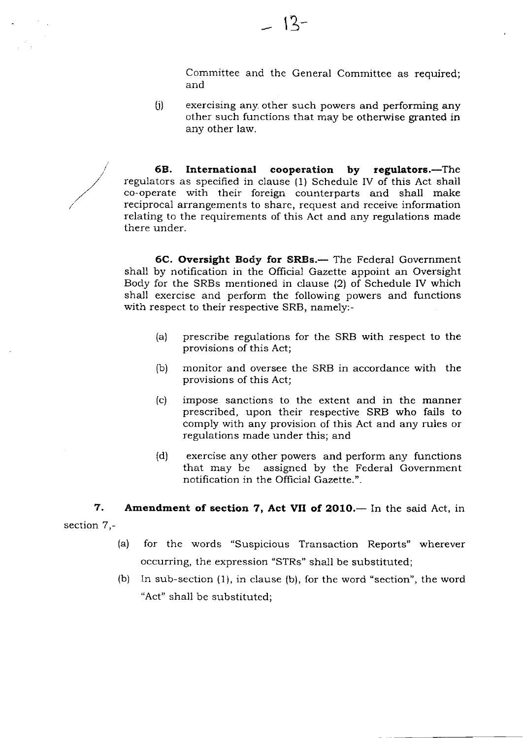Committee and the General Committee as required; and

 $(i)$  exercising any other such powers and performing any other such functions that may be otherwise granted in any other law.

6B. International cooperation by regulators.—The regulators as specified in clause (1) Schedule IV of this Act shall co-operate with their foreign counterparts and shall make reciprocal arrangements to share, request and receive information relating to the requirements of this Act and any regulations made there under.

6C. Oversight Body for SRBs.- The Federal Government shall by notification in the Official Gazette appoint an Oversight Body for the SRBs mentioned in clause (2) of Schedule IV which shall exercise and perform the following powers and functions with respect to their respective SRB, namely:-

- (a) prescribe regulations for the SRB with respect to the provisions of this Act;
- (b) monitor and oversee the SRB in accordance with the provisions of this Act;
- (.) impose sanctions to the extent and in the manner prescribed, upon their respective SRB who fails to comply with any provision of this Act and any ruies or regulations made under this; and
- (d) exercise any other powers and perform any functions that may be assigned by the Federal Government notification in the Official Gazette.".

7. section 7,- Amendment of section 7, Act VII of 2010.- In the said Act, in

- (a) for the words "Suspicious Transaction Reports" wherever occurring, the expression "STRs" shal1 be substituted;
- (b) In sub-section (1), in clause (b), for the word "section", the word "Act" shall be substituted;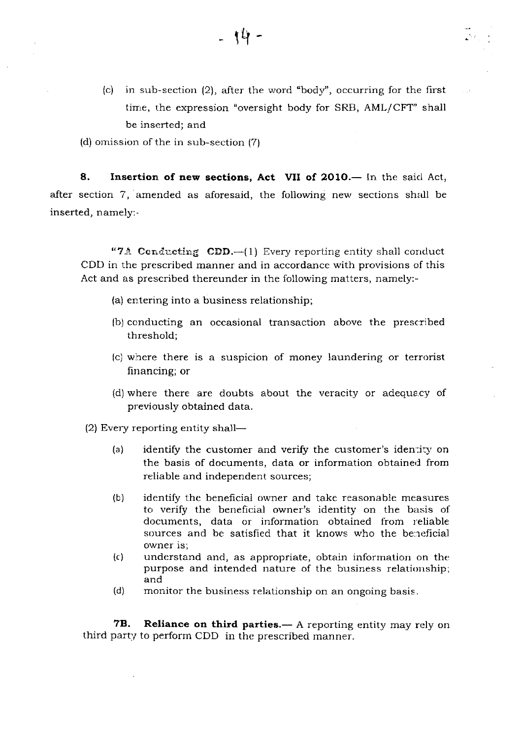(c) in sub-section  $(2)$ , after the word "body", occurring for the first time, the expression "oversight body for SRB, AML/CFT" shall be inserted; and

(d) omission of the in sub-section (7)

8. Insertion of new sections, Act VII of 2010. - In the said Act, after section 7, amended as aforesaid, the following new sections shall be inserted, namely:-

- 14 -

"7A Conducting CDD.-(1) Every reporting entity shall conduct CDD in the prescribed manner and in accordance with provisions of this Act and as prescribed thereunder in the following matters, namely:-

- (a) entering into a business relationship;
- (b) conducting an occasional transaction above the prescribed threshold;
- (c) where there is a suspicion of money laundering or terrorist financing; or
- (d) where there are doubts about the veracity or adequacy of previously obtained data.

 $(2)$  Every reporting entity shall-

- (a) identify the customer and verify the customer's identity on the basis of documents, data or information obtained from reliable and independent sources;
- (b) identify the benehcial owner and take reasonable measures to verify the beneficial owner's identity on the basis of documents, data or information obtained from reliable sources and be satisfied that it knows who the beneficial owner is;
- (c) understand and, as appropriate, obtain information on thc purpose and intended nature of the business relationship;
- $(d)$  monitor the business relationship on an ongoing basis.

7B. Reliance on third parties.— A reporting entity may rely on third party to perform CDD in the prescribed manner.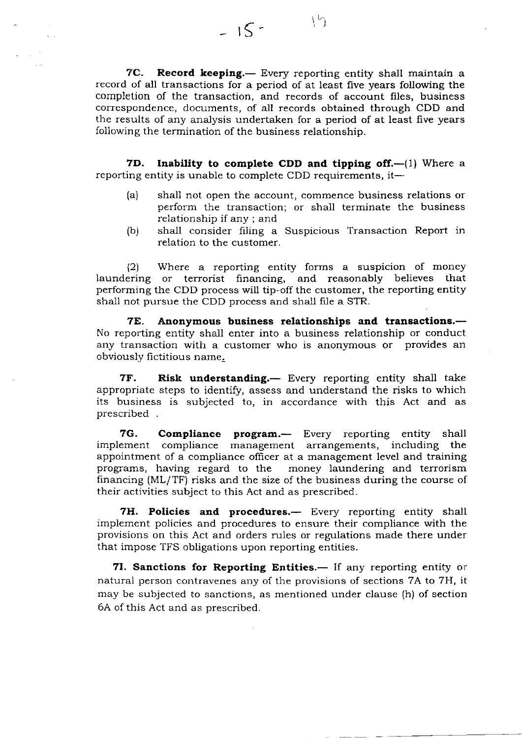7C. Record keeping.- Every reporting entity shall maintain a record of all transactions for a period of at least five years following the completion of the transaction, and records of account files, business correspondence, documents, of all records obtained through CDD and the results of any analysis undertaken for a period of at least five years following the termination of the business relationship.

 $=15-15$ 

7D. Inability to complete CDD and tipping off. $-(1)$  Where a reporting entity is unable to complete CDD requirements, it-

- (a) shall not open the account, commence business relations or perform the transaction; or shall terminate the business relationship if any ; and
- (b) shall consider filing a Suspicious Transaction Report in relation to the customer.

(2) Where a reporting entity forms a suspicion of money laundering or terrorist financing, and reasonably believes that performing the CDD process will tip-off the customer, the reporting entity shall not pursue the CDD process and shall file a STR.

7E. Anonymous business relationships and transactions.--No reporting entity shall enter into a business relationship or conduct any transaction with a customer who is anonymous or provides an obviously fictitious name.

**7F.** Risk understanding.— Every reporting entity shall take appropriate steps to identify, assess and understand the risks to which its business is subjected to, in accordance with this Act and as prescribed

**7G. Compliance program.—** Every reporting entity shall ement compliance management arrangements, including the implement compliance management arrangements, including appointment of a compliance officer at a management level and training programs, having regard to the money laundering and terrorism financing (ML/TF) risks and the size of the business during the course of their activities subject to this Act and as prescribed.

7H. Policies and procedures.- Every reporting entity shall implement policies and procedures to ensure their compliance with the provisions on this Act and orders rules or regulations made there under that impose TFS obligations upon reporting entities.

7I. Sanctions for Reporting Entities.— If any reporting entity or natural person contravenes any of the provisions of sections 7A to 7H, it may be subjected to sanctions, as mentioned under clause (h) of section 6A of this Act and as prescribed.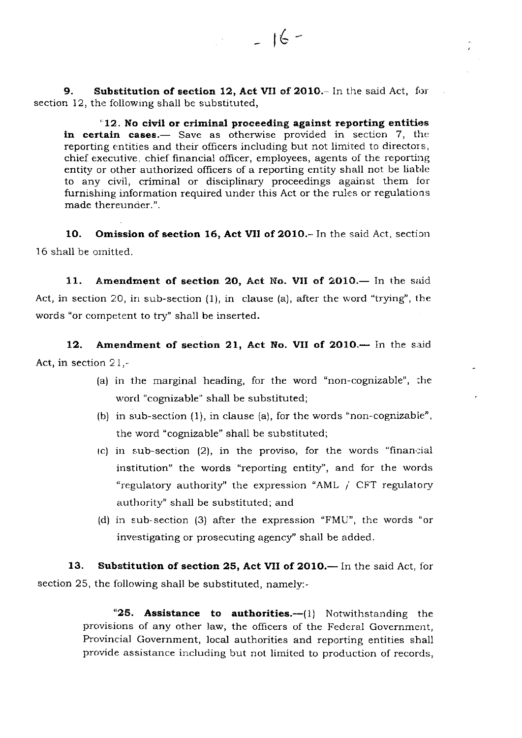9. Substitution of section 12, Act VII of 2010.- In the said Act, for section 12, the following shall be substituted,

''12. No civil or criminal proceeding against reporting entities in certain cases.— Save as otherwise provided in section 7, the reporting entities and their officers including but not limited to directors, chief executive, chief financial officer, employees, agents of the reporting entity or other authorized officers of a reporting entity shall not be liable to any civil, criminal or disciplinary proceedings against them for furnishing information required under this Act or the rules or regulations made thereunder.".

 $t = 16 -$ 

10. Omission of section 16, Act VII of 2010.- In the said Act, section 16 shall be omitted.

11. Amendment of section 20, Act No. VII of 2010. In the said Act, in section 20, in sub-section  $(1)$ , in clause  $(a)$ , after the word "trying", the words "or competent to try" shall be inserted.

12. Amendment of section 21, Act No. VII of 2010.- In the said Act, in section  $21$ ,-

- (a) in the marginal heading, for the word "non-cognizable", the word "cognizable" shall be substituted;
- (b) in sub-section  $(1)$ , in clause  $(a)$ , for the words "non-cognizable", the word "cognizable" shall be substituted;
- $(c)$  in sub-section (2), in the proviso, for the words "financial institution" the words "reporting entity', and for the words "regulatory authority'' the expression "AML 1 CFT regulatory authority'' shall be substituted; and
- (d) in sub-section (3) after the expression "FMU", the words "or investigating or prosecuting agency'' shall be added.

13. Substitution of section 25, Act VII of 2010.— In the said Act, for section 25, the following shall be substituted, namely:-

> "25. Assistance to authorities. $-1$ ) Notwithstanding the provisions of any other law, the officers of the Federal Government, Provincial Government, local authorities and reporting entities shall provide assistance including but not limited to production of records,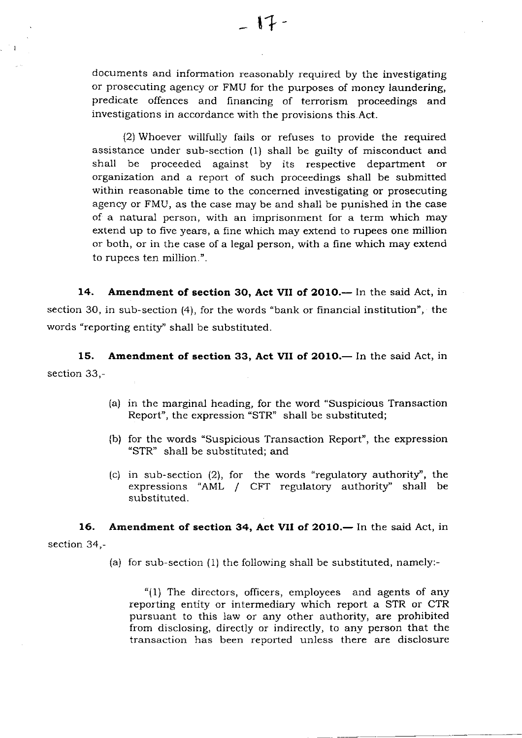documents and information reasonably required by the investigating or prosecuting agency or FMU for the purposes of money laundering, predicate offences and financing of terrorism proceedings and investigations in accordance with the provisions this.Act.

(2) Whoever willfully fails or refuses to provide the required assistance under sub-section (1) shall be guilty of misconduct and shall be proceeded against by its respective department or organization and a report of such proceedings shall be submitted within reasonabie time to the concerned investigating or prosecuting agency or FMU, as the case may be and shall be punished in the case of a natural person, with an imprisonment for a term which may extend up to five years, a fine which may extend to rupees one million or both, or in the case of a legal person, with a fine which may extend to rupees ten million.".

14. Amendment of section 30, Act VII of 2010. - In the said Act, in section 3O, in sub-section (4), for the words "bank or financial institution", the words "reporting entity" shall be substituted.

15. Amendment of section 33, Act VII of 2010.— In the said Act, in section 33,-

- (a) in the marginal heading, for the word "Suspicious Transaction Report", the expression "STR" shall be substituted;
- (b) for the words "Suspicious Transaction Report", the expression "STR" shall be substituted; and
- (c) in sub-section  $(2)$ , for the words "regulatory authority", the expressions "AML / CFT regulatory authority" shall be substituted.

16. Amendment of section 34, Act VII of 2010.— In the said Act, in section 34,-

(a) for sub-section (1) the following shall be substituted, namely:-

"(1) The directors, officers, employees and agents of any reporting entity or intermediary which report a STR or CTR pursuant to this law or any other authority, are prohibited from disclosing, directly or indirectly, to any person that the transaction has been reported unless there are disciosure

 $\overline{1}$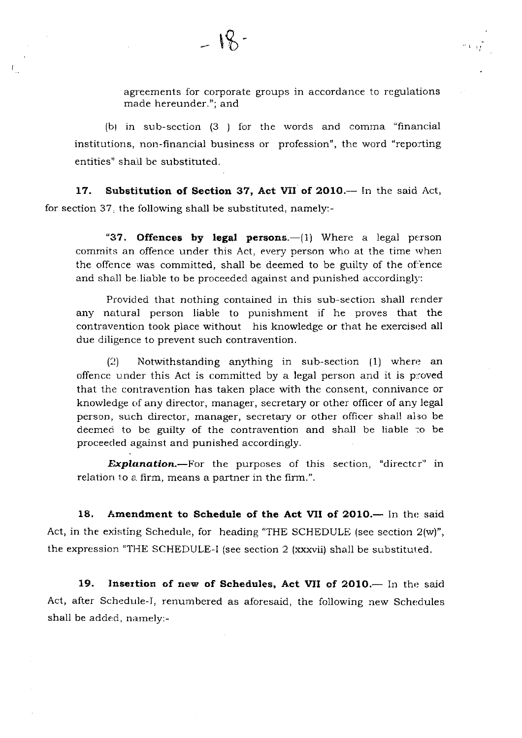agreements for corporate groups in accordance to regulations made hereunder."; and

 $\sim 10^{12}$ 

(b) in sub-section  $(3)$  for the words and comma "financial institutions, non-financial business or profession", the word "reporting entities" shail be substituted.

17. Substitution of Section 37, Act VII of 2010.-- In the said Act, for section 37. the following shall be substituted, namely:-

t

"37. Offences by legal persons.— $(1)$  Where a legal person commits an offence under this Act, every person who at the time when the offence was committed, shall be deemed to be guilty of the offence and shall be liable to be proceeded against and punished accordingly:

Provided that nothing contained in this sub-section shall render any natural person liable to punishment if he proves that the contravention took place without his knowledge or that he exercised all due diligence to prevent such contravention.

 $\Omega$  Notwithstanding anything in sub-section  $(1)$  where an offence under this Act is committed by a legal person and it is proved that the contravention has taken place with the consent, connivance or knowledge of any director, manager, secretary or other officer of any legal person, such director, manager, secretary or other officer shall also be deemed to be guilty of the contravention and shall be liable to be proceeded against and punished accordingly.

**Explanation.**—For the purposes of this section, "directcr" in relation to a firm, means a partner in the firm.".

18. Amendment to Schedule of the Act VII of 2010.— In the said Act, in the existing Schedule, for heading "THE SCHEDULE (see section 2(w)", the expression "THE SCHEDULE-I (see section 2 (xxxvii) shall be substituted.

19. Insertion of new of Schedules, Act VII of 2010.- In the said Act, after Schedule-I, renumbered as aforesaid, the following new Schedules shall be added, namely:-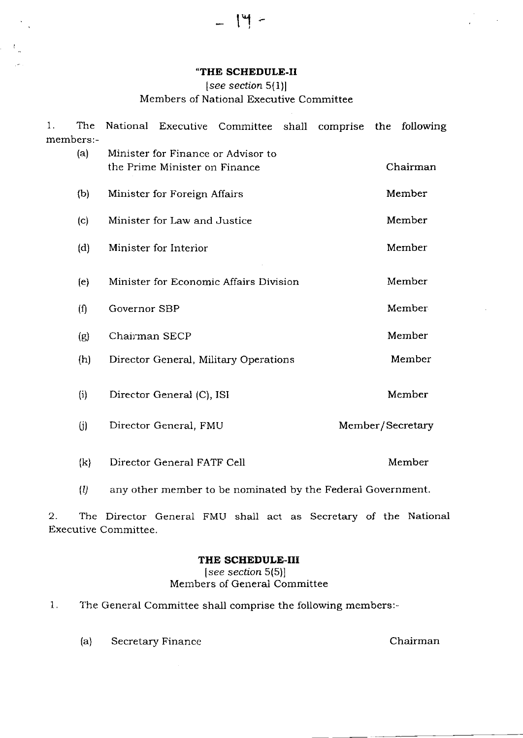### .THE SCHEDULE.II

 $-14$ 

 $\mathcal{V}_\perp$ 

# $[see section 5(1)]$

## Members of National Executive Committee

| $1$ . | The          |                                                                     |  | National Executive Committee shall comprise the following |  |        |  |        |  |  |  |
|-------|--------------|---------------------------------------------------------------------|--|-----------------------------------------------------------|--|--------|--|--------|--|--|--|
|       | members:-    |                                                                     |  |                                                           |  |        |  |        |  |  |  |
|       | (a)          | Minister for Finance or Advisor to<br>the Prime Minister on Finance |  | Chairman                                                  |  |        |  |        |  |  |  |
|       | (b)          | Minister for Foreign Affairs                                        |  | Member                                                    |  |        |  |        |  |  |  |
|       | (c)          | Minister for Law and Justice                                        |  | Member                                                    |  |        |  |        |  |  |  |
|       | (d)          | Minister for Interior                                               |  | Member                                                    |  |        |  |        |  |  |  |
|       | (e)          | Minister for Economic Affairs Division                              |  |                                                           |  |        |  | Member |  |  |  |
|       | (f)          | Governor SBP<br>Chairman SECP                                       |  |                                                           |  |        |  | Member |  |  |  |
|       | (g)          |                                                                     |  |                                                           |  |        |  | Member |  |  |  |
|       | (h)          | Director General, Military Operations                               |  | Member                                                    |  |        |  |        |  |  |  |
|       | (i)          | Director General (C), ISI                                           |  |                                                           |  |        |  | Member |  |  |  |
|       | (i)          | Director General, FMU                                               |  | Member/Secretary                                          |  |        |  |        |  |  |  |
|       | $\mathbf{k}$ | Director General FATF Cell                                          |  |                                                           |  | Member |  |        |  |  |  |

 $(l)$  any other member to be nominated by the Federal Government.

2. The Director General FMU shall act as Secretary of the National Executive Committee.

## THE SCHEDULE-III

[see section 5(5)] Members of General Committee

- 1. The General Committee shall comprise the following members:-
	- (a) Secretary Finance Chairman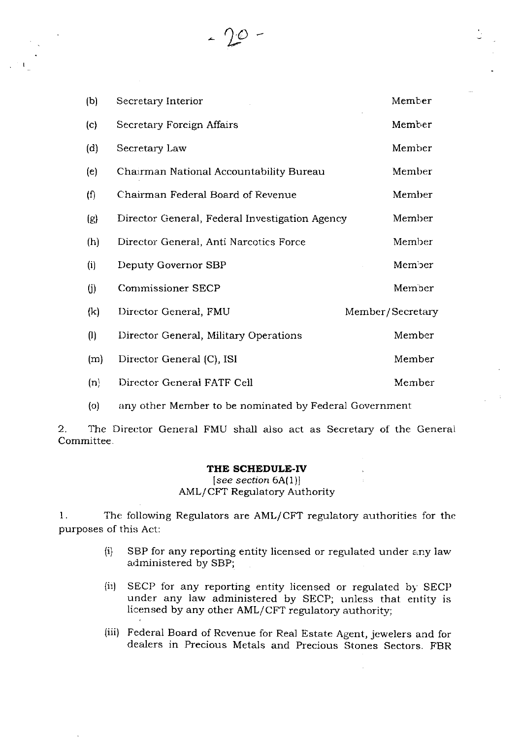(b) (c) (d) (e)  $(f)$ (e) (h) (i) (i) (k) (l)  $(m)$ Secretary Interior Secretary Foreign Affairs Secretary Law Chairman National Accountability Bureau Chairman Pederal Board of Revenue Director General, Federal lnvestigation Agency Director General, Anti Narcotics Force Deputy Governor SBP Commissioner SECP Director General, FMU Director General, Military Operations Director General (C), ISI Member Member Member Member Member Member Member Member: Member Member/ Secretary Member Member

 $\gamma_{\mathcal{O}}$ 

- $(n)$ Director General FATF Cell Member
- (o) any other Member to be nominated by Federal Government

2. The Director General FMU shall also act as Secretary of the General Committee

# THE SCHEDULE-IV

 $[see section 6A(1)]$ AML/CFT Regulatory Authority

I. The following Regulators are AML/CFT regulatory authorities for the purposes of this Act:

- $(i)$  SBP for any reporting entity licensed or regulated under any law administered by SBP;
- (ii) SECP for any reporting entity licensed or regulated by SECP under any law administered by SECP; unless that entity is licensed by any other AML/CFT regulatory authority;
- (iii) Federal Board of Revenue for Real Estate Agent, jewelers and for dealers in Precious Metals and Precious Stones Sectors. FBR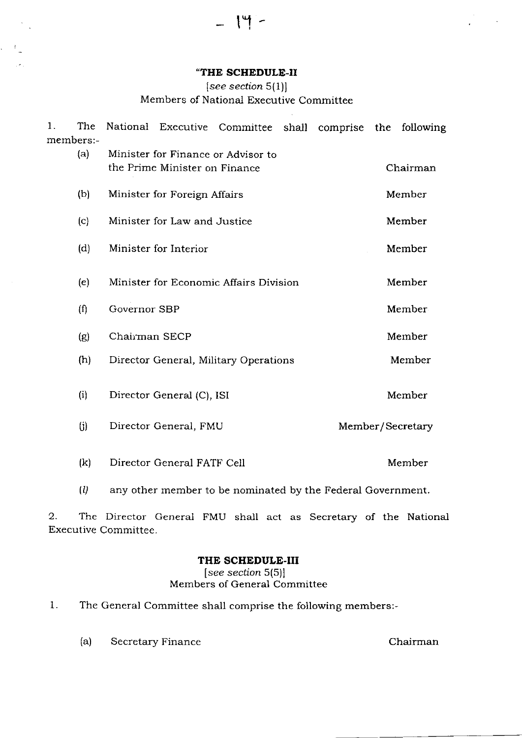#### "THE SCHEDULE-II

 $\mathsf{I}^{\mathsf{u}}$  -

 $\zeta = \mathcal{A}(\zeta)$ 

 $\sim$  .

### $[see section 5(1)]$

# Members of National Executive Committee

| $\mathbf{1}$ . | The                        |                                                                     |                            | National Executive Committee shall comprise the following |  |  |  |        |  |  |
|----------------|----------------------------|---------------------------------------------------------------------|----------------------------|-----------------------------------------------------------|--|--|--|--------|--|--|
|                | members:-                  |                                                                     |                            |                                                           |  |  |  |        |  |  |
|                | (a)                        | Minister for Finance or Advisor to<br>the Prime Minister on Finance |                            | Chairman                                                  |  |  |  |        |  |  |
|                | (b)                        | Minister for Foreign Affairs                                        | Member                     |                                                           |  |  |  |        |  |  |
|                | (c)                        | Minister for Law and Justice                                        |                            | Member                                                    |  |  |  |        |  |  |
|                | (d)                        | Minister for Interior                                               |                            | Member                                                    |  |  |  |        |  |  |
|                | (e)                        | Minister for Economic Affairs Division                              |                            |                                                           |  |  |  | Member |  |  |
|                | (f)                        | Governor SBP                                                        |                            |                                                           |  |  |  | Member |  |  |
|                | (g)                        | Chairman SECP                                                       |                            |                                                           |  |  |  | Member |  |  |
|                | (h)                        | Director General, Military Operations                               |                            | Member                                                    |  |  |  |        |  |  |
|                | (i)                        | Director General (C), ISI                                           |                            |                                                           |  |  |  | Member |  |  |
|                | (j)                        | Director General, FMU                                               |                            | Member/Secretary                                          |  |  |  |        |  |  |
|                | $\left( \mathrm{k}\right)$ |                                                                     | Director General FATF Cell |                                                           |  |  |  | Member |  |  |

(l) any other member to be nominated by the Federal Government

2. The Director General FMU shall act as Secretary of the National Executive Committee.

### THE SCHEDULE-III

 $[see section 5(5)]$ Members of General Committee

- 1. The General Committee shall comprise the following members:-
	- (a) Secretary Finance Chairman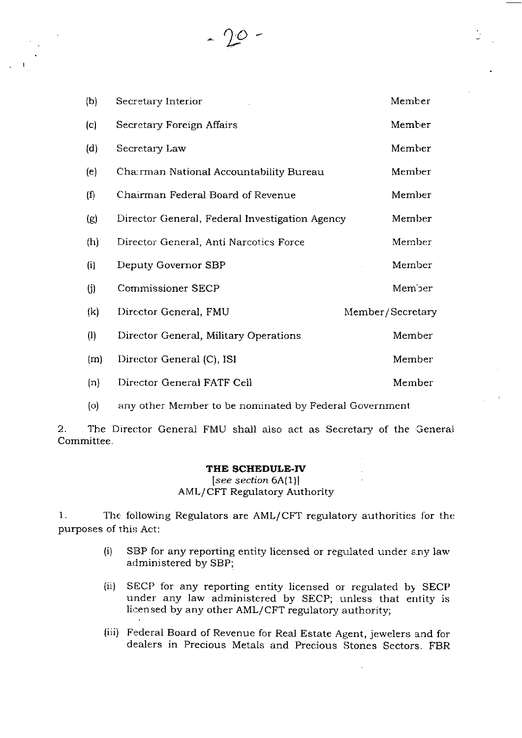(b) Secretary Interior Member (c) Secretary Foreign Affairs Member (d) Secretary Law Member (e) Charman National Accountability Bureau Member (1) Chanrman Federal Board of Revenue Member (g) Director General, Federal Investigation Agency Member (h) Director General, Anti Narcotics Force Member (i) Deputy Governor SBP Member (i) Commissioner SECP Member (k) Director General, FMU Member/ Secretary (I) Director General, Military Operations Member (m) Director General (C), ISI Member (n) Director General FATF Cell Member

1o

(o) any other Member to be nominated by Federal Government

2. The Director General FMU shall also act as Secretary of the General Committee.

#### THE SCHEDULE-TV

 $[see section 6A(1)]$ AML/CFT Regulatory Authority

1. The following Regulators are AML/CFT regulatory authorities for the purposes of this Act:

- $(i)$  SBP for any reporting entity licensed or regulated under any law administered by SBP;
- (ii) SECP for any reporting entity licensed or regulated by SECP under any law administered by SECP; unless that entity is licensed by any other AML/CFT regulatory authority;
- (iii) Federal Board of Revenue for Real Estate Agent, jewelers and for dealers in Precious Metals and Precious Stones Sectors. FBR